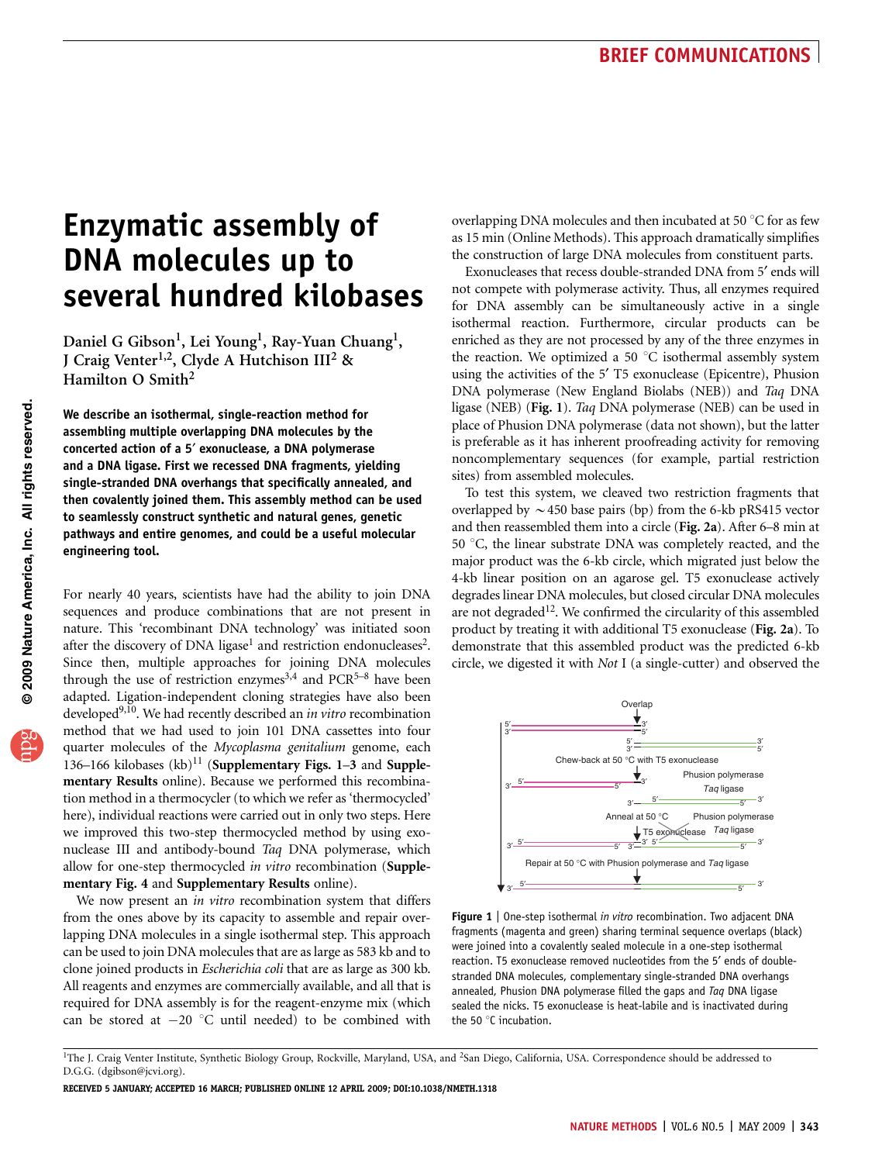# Enzymatic assembly of DNA molecules up to several hundred kilobases

Daniel G Gibson<sup>1</sup>, Lei Young<sup>1</sup>, Ray-Yuan Chuang<sup>1</sup>, J Craig Venter<sup>1,2</sup>, Clyde A Hutchison III<sup>2</sup> & Hamilton O Smith<sup>2</sup>

We describe an isothermal, single-reaction method for assembling multiple overlapping DNA molecules by the concerted action of a 5<sup>'</sup> exonuclease, a DNA polymerase and a DNA ligase. First we recessed DNA fragments, yielding single-stranded DNA overhangs that specifically annealed, and then covalently joined them. This assembly method can be used to seamlessly construct synthetic and natural genes, genetic pathways and entire genomes, and could be a useful molecular engineering tool.

For nearly 40 years, scientists have had the ability to join DNA sequences and produce combinations that are not present in nature. This 'recombinant DNA technology' was initiated soon after the discovery of DNA ligase<sup>1</sup> and restriction endonucleases<sup>2</sup>. Since then, multiple approaches for joining DNA molecules through the use of restriction enzymes<sup>[3,4](#page-2-0)</sup> and  $PCR^{5-8}$  have been adapted. Ligation-independent cloning strategies have also been developed<sup>9,10</sup>. We had recently described an in vitro recombination method that we had used to join 101 DNA cassettes into four quarter molecules of the Mycoplasma genitalium genome, each 136–166 kilobases  $(kb)^{11}$  $(kb)^{11}$  $(kb)^{11}$  (Supplementary Figs. 1–3 and Supplementary Results online). Because we performed this recombination method in a thermocycler (to which we refer as 'thermocycled' here), individual reactions were carried out in only two steps. Here we improved this two-step thermocycled method by using exonuclease III and antibody-bound Taq DNA polymerase, which allow for one-step thermocycled in vitro recombination (Supplementary Fig. 4 and Supplementary Results online).

We now present an in vitro recombination system that differs from the ones above by its capacity to assemble and repair overlapping DNA molecules in a single isothermal step. This approach can be used to join DNA molecules that are as large as 583 kb and to clone joined products in Escherichia coli that are as large as 300 kb. All reagents and enzymes are commercially available, and all that is required for DNA assembly is for the reagent-enzyme mix (which can be stored at  $-20$  °C until needed) to be combined with overlapping DNA molecules and then incubated at 50  $^{\circ}$ C for as few as 15 min (Online Methods). This approach dramatically simplifies the construction of large DNA molecules from constituent parts.

Exonucleases that recess double-stranded DNA from 5' ends will not compete with polymerase activity. Thus, all enzymes required for DNA assembly can be simultaneously active in a single isothermal reaction. Furthermore, circular products can be enriched as they are not processed by any of the three enzymes in the reaction. We optimized a 50  $^{\circ}$ C isothermal assembly system using the activities of the 5' T5 exonuclease (Epicentre), Phusion DNA polymerase (New England Biolabs (NEB)) and Taq DNA ligase (NEB) (Fig. 1). Taq DNA polymerase (NEB) can be used in place of Phusion DNA polymerase (data not shown), but the latter is preferable as it has inherent proofreading activity for removing noncomplementary sequences (for example, partial restriction sites) from assembled molecules.

To test this system, we cleaved two restriction fragments that overlapped by  $\sim$  450 base pairs (bp) from the 6-kb pRS415 vector and then reassembled them into a circle (Fig. 2a). After 6–8 min at 50 °C, the linear substrate DNA was completely reacted, and the major product was the 6-kb circle, which migrated just below the 4-kb linear position on an agarose gel. T5 exonuclease actively degrades linear DNA molecules, but closed circular DNA molecules are not degraded<sup>12</sup>. We confirmed the circularity of this assembled product by treating it with additional T5 exonuclease (Fig. 2a). To demonstrate that this assembled product was the predicted 6-kb circle, we digested it with Not I (a single-cutter) and observed the



**Figure 1** | One-step isothermal in vitro recombination. Two adjacent DNA fragments (magenta and green) sharing terminal sequence overlaps (black) were joined into a covalently sealed molecule in a one-step isothermal reaction. T5 exonuclease removed nucleotides from the 5' ends of doublestranded DNA molecules, complementary single-stranded DNA overhangs annealed, Phusion DNA polymerase filled the gaps and Taq DNA ligase sealed the nicks. T5 exonuclease is heat-labile and is inactivated during the 50 $\degree$ C incubation.

RECEIVED 5 JANUARY; ACCEPTED 16 MARCH; PUBLISHED ONLINE 12 APRIL 2009; [DOI:10.1038/NMETH.1318](http://www.nature.com/doifinder/10.1038/NMETH.1318)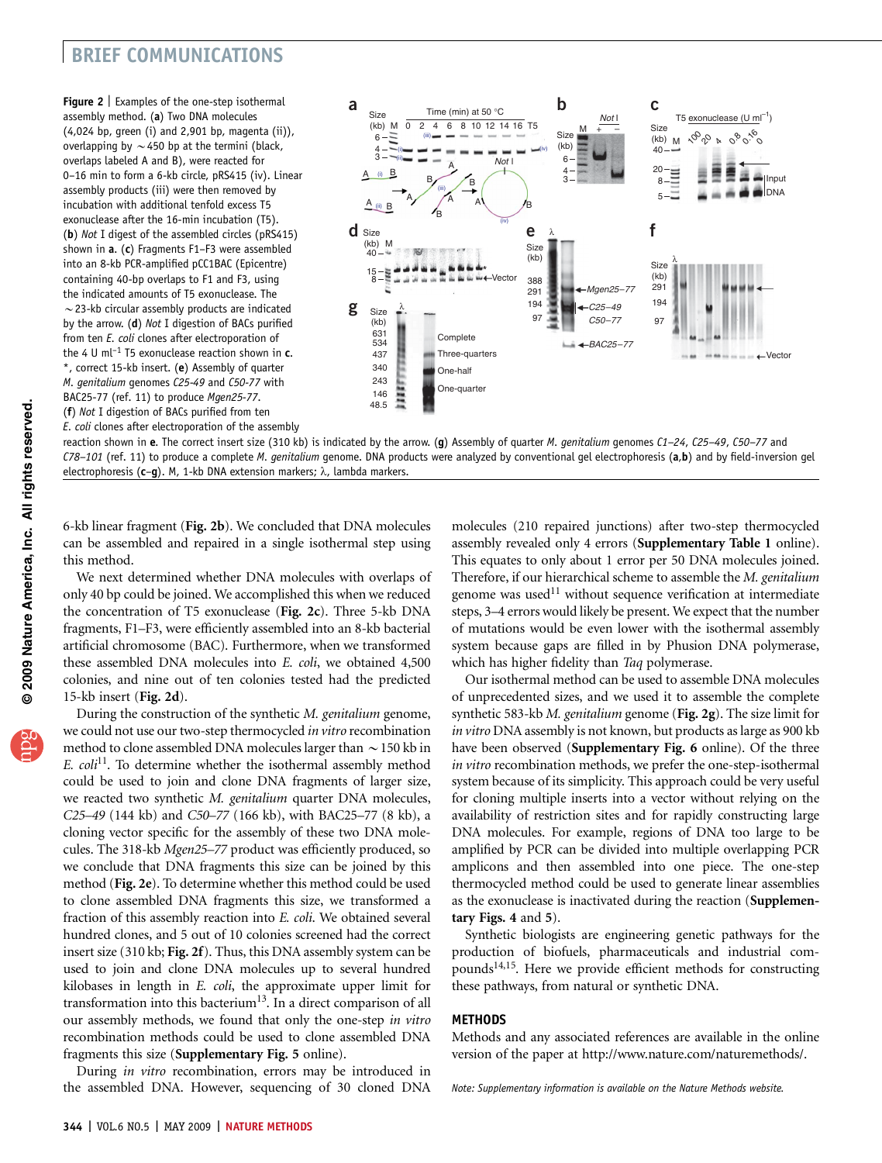## BRIEF COMMUNICATIONS

Figure 2 | Examples of the one-step isothermal assembly method. (a) Two DNA molecules (4,024 bp, green (i) and 2,901 bp, magenta (ii)), overlapping by  $\sim$  450 bp at the termini (black, overlaps labeled A and B), were reacted for 0–16 min to form a 6-kb circle, pRS415 (iv). Linear assembly products (iii) were then removed by incubation with additional tenfold excess T5 exonuclease after the 16-min incubation (T5). (b) Not I digest of the assembled circles (pRS415) shown in a. (c) Fragments F1–F3 were assembled into an 8-kb PCR-amplified pCC1BAC (Epicentre) containing 40-bp overlaps to F1 and F3, using the indicated amounts of T5 exonuclease. The  $\sim$  23-kb circular assembly products are indicated by the arrow. (d) Not I digestion of BACs purified from ten E. coli clones after electroporation of the 4 U ml<sup>-1</sup> T5 exonuclease reaction shown in  $c$ . \*, correct 15-kb insert. (e) Assembly of quarter M. genitalium genomes C25-49 and C50-77 with BAC25-77 (ref. 11) to produce Mgen25-77. (f) Not I digestion of BACs purified from ten

E. coli clones after electroporation of the assembly



reaction shown in e. The correct insert size (310 kb) is indicated by the arrow. (q) Assembly of quarter M. genitalium genomes  $C1-24$ ,  $C25-49$ ,  $C50-77$  and C78-101 (ref. 11) to produce a complete M. genitalium genome. DNA products were analyzed by conventional gel electrophoresis (a,b) and by field-inversion gel electrophoresis ( $c-g$ ). M, 1-kb DNA extension markers;  $\lambda$ , lambda markers.

6-kb linear fragment (Fig. 2b). We concluded that DNA molecules can be assembled and repaired in a single isothermal step using this method.

We next determined whether DNA molecules with overlaps of only 40 bp could be joined. We accomplished this when we reduced the concentration of T5 exonuclease (Fig. 2c). Three 5-kb DNA fragments, F1–F3, were efficiently assembled into an 8-kb bacterial artificial chromosome (BAC). Furthermore, when we transformed these assembled DNA molecules into E. coli, we obtained 4,500 colonies, and nine out of ten colonies tested had the predicted 15-kb insert (Fig. 2d).

During the construction of the synthetic M. genitalium genome, we could not use our two-step thermocycled in vitro recombination method to clone assembled DNA molecules larger than  $\sim$  150 kb in E.  $\text{coli}^{11}$  $\text{coli}^{11}$  $\text{coli}^{11}$ . To determine whether the isothermal assembly method could be used to join and clone DNA fragments of larger size, we reacted two synthetic M. genitalium quarter DNA molecules, C25–49 (144 kb) and C50–77 (166 kb), with BAC25–77 (8 kb), a cloning vector specific for the assembly of these two DNA molecules. The 318-kb Mgen25–77 product was efficiently produced, so we conclude that DNA fragments this size can be joined by this method (Fig. 2e). To determine whether this method could be used to clone assembled DNA fragments this size, we transformed a fraction of this assembly reaction into E. coli. We obtained several hundred clones, and 5 out of 10 colonies screened had the correct insert size (310 kb; Fig. 2f). Thus, this DNA assembly system can be used to join and clone DNA molecules up to several hundred kilobases in length in E. coli, the approximate upper limit for transformation into this bacterium<sup>[13](#page-2-0)</sup>. In a direct comparison of all our assembly methods, we found that only the one-step in vitro recombination methods could be used to clone assembled DNA fragments this size (Supplementary Fig. 5 online).

During in vitro recombination, errors may be introduced in the assembled DNA. However, sequencing of 30 cloned DNA molecules (210 repaired junctions) after two-step thermocycled assembly revealed only 4 errors (Supplementary Table 1 online). This equates to only about 1 error per 50 DNA molecules joined. Therefore, if our hierarchical scheme to assemble the M. genitalium genome was used<sup>[11](#page-2-0)</sup> without sequence verification at intermediate steps, 3–4 errors would likely be present. We expect that the number of mutations would be even lower with the isothermal assembly system because gaps are filled in by Phusion DNA polymerase, which has higher fidelity than Taq polymerase.

Our isothermal method can be used to assemble DNA molecules of unprecedented sizes, and we used it to assemble the complete synthetic 583-kb M. genitalium genome (Fig. 2g). The size limit for in vitro DNA assembly is not known, but products as large as 900 kb have been observed (Supplementary Fig. 6 online). Of the three in vitro recombination methods, we prefer the one-step-isothermal system because of its simplicity. This approach could be very useful for cloning multiple inserts into a vector without relying on the availability of restriction sites and for rapidly constructing large DNA molecules. For example, regions of DNA too large to be amplified by PCR can be divided into multiple overlapping PCR amplicons and then assembled into one piece. The one-step thermocycled method could be used to generate linear assemblies as the exonuclease is inactivated during the reaction (Supplementary Figs. 4 and 5).

Synthetic biologists are engineering genetic pathways for the production of biofuels, pharmaceuticals and industrial compounds<sup>14,15</sup>. Here we provide efficient methods for constructing these pathways, from natural or synthetic DNA.

### METHODS

Methods and any associated references are available in the online version of the paper at<http://www.nature.com/naturemethods/>.

Note: Supplementary information is available on the [Nature Methods](http://www.nature.com/naturemethods/) website.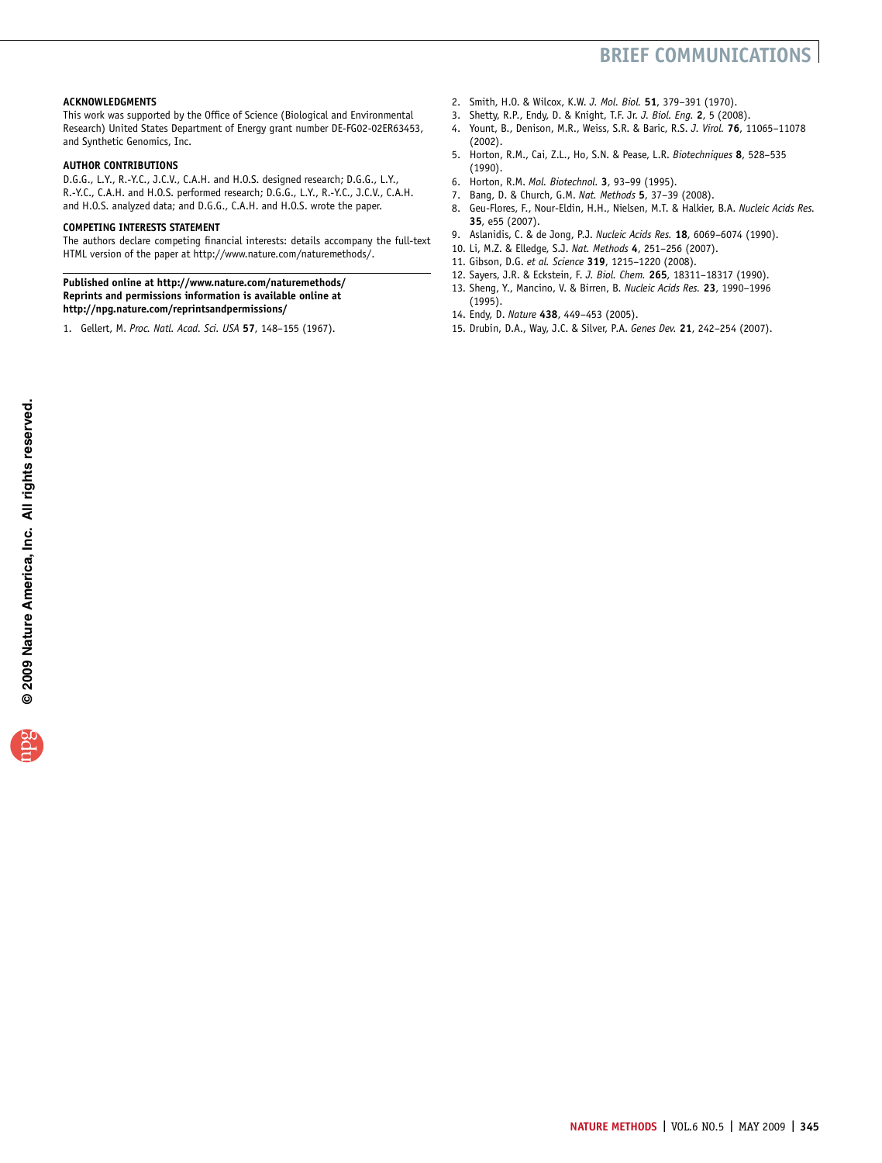# BRIEF COMMUNICATIONS

#### <span id="page-2-0"></span>ACKNOWLEDGMENTS

This work was supported by the Office of Science (Biological and Environmental Research) United States Department of Energy grant number DE-FG02-02ER63453, and Synthetic Genomics, Inc.

#### AUTHOR CONTRIBUTIONS

D.G.G., L.Y., R.-Y.C., J.C.V., C.A.H. and H.O.S. designed research; D.G.G., L.Y., R.-Y.C., C.A.H. and H.O.S. performed research; D.G.G., L.Y., R.-Y.C., J.C.V., C.A.H. and H.O.S. analyzed data; and D.G.G., C.A.H. and H.O.S. wrote the paper.

#### COMPETING INTERESTS STATEMENT

The authors declare competing financial interests: details accompany the full-text HTML version of the paper at<http://www.nature.com/naturemethods/>.

#### Published online at<http://www.nature.com/naturemethods/> Reprints and permissions information is available online at <http://npg.nature.com/reprintsandpermissions/>

1. Gellert, M. Proc. Natl. Acad. Sci. USA 57, 148–155 (1967).

- 2. Smith, H.O. & Wilcox, K.W. J. Mol. Biol. 51, 379–391 (1970).
- 3. Shetty, R.P., Endy, D. & Knight, T.F. Jr. J. Biol. Eng. 2, 5 (2008).
- 4. Yount, B., Denison, M.R., Weiss, S.R. & Baric, R.S. J. Virol. 76, 11065–11078 (2002).
- 5. Horton, R.M., Cai, Z.L., Ho, S.N. & Pease, L.R. Biotechniques 8, 528–535 (1990).
- 6. Horton, R.M. Mol. Biotechnol. 3, 93–99 (1995).
- 7. Bang, D. & Church, G.M. Nat. Methods 5, 37–39 (2008).
- 8. Geu-Flores, F., Nour-Eldin, H.H., Nielsen, M.T. & Halkier, B.A. Nucleic Acids Res. 35, e55 (2007).
- 9. Aslanidis, C. & de Jong, P.J. Nucleic Acids Res. 18, 6069–6074 (1990).
- 10. Li, M.Z. & Elledge, S.J. Nat. Methods 4, 251–256 (2007).
- 11. Gibson, D.G. et al. Science 319, 1215–1220 (2008).
- 12. Sayers, J.R. & Eckstein, F. J. Biol. Chem. 265, 18311–18317 (1990).
- 13. Sheng, Y., Mancino, V. & Birren, B. Nucleic Acids Res. 23, 1990–1996 (1995).
- 14. Endy, D. Nature 438, 449–453 (2005).
- 15. Drubin, D.A., Way, J.C. & Silver, P.A. Genes Dev. 21, 242–254 (2007).

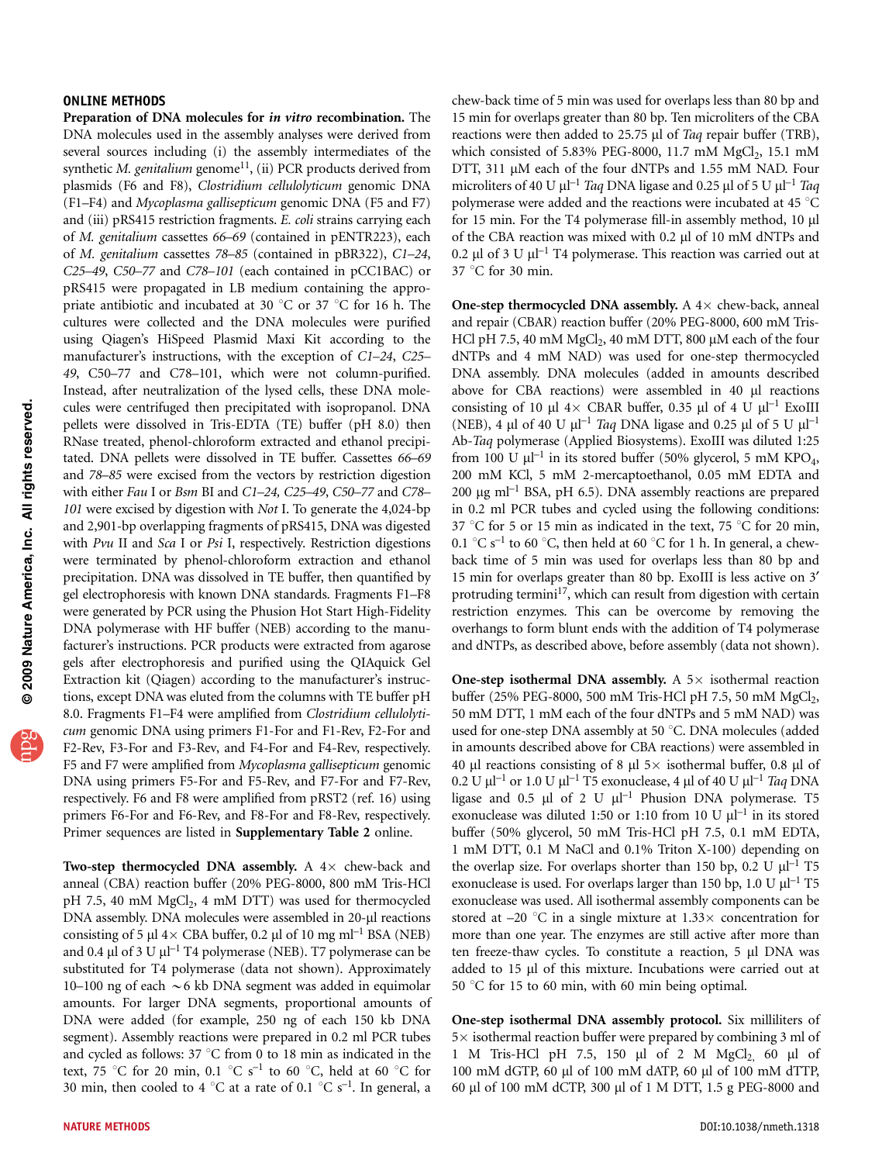## ONLINE METHODS

Preparation of DNA molecules for in vitro recombination. The DNA molecules used in the assembly analyses were derived from several sources including (i) the assembly intermediates of the synthetic M. genitalium genome<sup>11</sup>, (ii) PCR products derived from plasmids (F6 and F8), Clostridium cellulolyticum genomic DNA (F1–F4) and Mycoplasma gallisepticum genomic DNA (F5 and F7) and (iii) pRS415 restriction fragments. E. coli strains carrying each of M. genitalium cassettes 66–69 (contained in pENTR223), each of M. genitalium cassettes 78–85 (contained in pBR322), C1–24, C25–49, C50–77 and C78–101 (each contained in pCC1BAC) or pRS415 were propagated in LB medium containing the appropriate antibiotic and incubated at 30  $^{\circ}$ C or 37  $^{\circ}$ C for 16 h. The cultures were collected and the DNA molecules were purified using Qiagen's HiSpeed Plasmid Maxi Kit according to the manufacturer's instructions, with the exception of C1–24, C25– 49, C50–77 and C78–101, which were not column-purified. Instead, after neutralization of the lysed cells, these DNA molecules were centrifuged then precipitated with isopropanol. DNA pellets were dissolved in Tris-EDTA (TE) buffer (pH 8.0) then RNase treated, phenol-chloroform extracted and ethanol precipitated. DNA pellets were dissolved in TE buffer. Cassettes 66–69 and 78–85 were excised from the vectors by restriction digestion with either Fau I or Bsm BI and C1–24, C25–49, C50–77 and C78– 101 were excised by digestion with Not I. To generate the 4,024-bp and 2,901-bp overlapping fragments of pRS415, DNA was digested with Pvu II and Sca I or Psi I, respectively. Restriction digestions were terminated by phenol-chloroform extraction and ethanol precipitation. DNA was dissolved in TE buffer, then quantified by gel electrophoresis with known DNA standards. Fragments F1–F8 were generated by PCR using the Phusion Hot Start High-Fidelity DNA polymerase with HF buffer (NEB) according to the manufacturer's instructions. PCR products were extracted from agarose gels after electrophoresis and purified using the QIAquick Gel Extraction kit (Qiagen) according to the manufacturer's instructions, except DNA was eluted from the columns with TE buffer pH 8.0. Fragments F1–F4 were amplified from Clostridium cellulolyticum genomic DNA using primers F1-For and F1-Rev, F2-For and F2-Rev, F3-For and F3-Rev, and F4-For and F4-Rev, respectively. F5 and F7 were amplified from Mycoplasma gallisepticum genomic DNA using primers F5-For and F5-Rev, and F7-For and F7-Rev, respectively. F6 and F8 were amplified from pRST2 (ref. 16) using primers F6-For and F6-Rev, and F8-For and F8-Rev, respectively. Primer sequences are listed in Supplementary Table 2 online.

Two-step thermocycled DNA assembly. A  $4\times$  chew-back and anneal (CBA) reaction buffer (20% PEG-8000, 800 mM Tris-HCl pH 7.5, 40 mM MgCl<sub>2</sub>, 4 mM DTT) was used for thermocycled DNA assembly. DNA molecules were assembled in 20-µl reactions consisting of 5  $\mu$ l 4 $\times$  CBA buffer, 0.2  $\mu$ l of 10 mg ml<sup>-1</sup> BSA (NEB) and 0.4  $\mu$ l of 3 U  $\mu$ l<sup>-1</sup> T4 polymerase (NEB). T7 polymerase can be substituted for T4 polymerase (data not shown). Approximately 10–100 ng of each  $\sim$  6 kb DNA segment was added in equimolar amounts. For larger DNA segments, proportional amounts of DNA were added (for example, 250 ng of each 150 kb DNA segment). Assembly reactions were prepared in 0.2 ml PCR tubes and cycled as follows:  $37^{\circ}$ C from 0 to 18 min as indicated in the text, 75 °C for 20 min, 0.1 °C s<sup>-1</sup> to 60 °C, held at 60 °C for 30 min, then cooled to 4 °C at a rate of 0.1 °C s<sup>-1</sup>. In general, a chew-back time of 5 min was used for overlaps less than 80 bp and 15 min for overlaps greater than 80 bp. Ten microliters of the CBA reactions were then added to 25.75 µl of Taq repair buffer (TRB), which consisted of 5.83% PEG-8000, 11.7 mM MgCl<sub>2</sub>, 15.1 mM DTT, 311 µM each of the four dNTPs and 1.55 mM NAD. Four microliters of 40 U  $\mu$ l<sup>-1</sup> Taq DNA ligase and 0.25  $\mu$ l of 5 U  $\mu$ l<sup>-1</sup> Taq polymerase were added and the reactions were incubated at 45  $^{\circ}$ C for 15 min. For the T4 polymerase fill-in assembly method, 10 µl of the CBA reaction was mixed with 0.2 µl of 10 mM dNTPs and 0.2 µl of 3 U  $\mu$ l<sup>-1</sup> T4 polymerase. This reaction was carried out at  $37 \text{ °C}$  for 30 min.

One-step thermocycled DNA assembly. A  $4\times$  chew-back, anneal and repair (CBAR) reaction buffer (20% PEG-8000, 600 mM Tris-HCl pH 7.5, 40 mM  $MgCl<sub>2</sub>$ , 40 mM DTT, 800 µM each of the four dNTPs and 4 mM NAD) was used for one-step thermocycled DNA assembly. DNA molecules (added in amounts described above for CBA reactions) were assembled in 40 µl reactions consisting of 10  $\mu$ l 4× CBAR buffer, 0.35  $\mu$ l of 4 U  $\mu$ l<sup>-1</sup> ExoIII (NEB), 4  $\mu$ l of 40 U  $\mu$ l<sup>-1</sup> Taq DNA ligase and 0.25  $\mu$ l of 5 U  $\mu$ l<sup>-1</sup> Ab-Taq polymerase (Applied Biosystems). ExoIII was diluted 1:25 from 100 U  $\mu$ l<sup>-1</sup> in its stored buffer (50% glycerol, 5 mM KPO<sub>4</sub>, 200 mM KCl, 5 mM 2-mercaptoethanol, 0.05 mM EDTA and 200  $\mu$ g ml<sup>-1</sup> BSA, pH 6.5). DNA assembly reactions are prepared in 0.2 ml PCR tubes and cycled using the following conditions: 37 °C for 5 or 15 min as indicated in the text, 75 °C for 20 min, 0.1  $\mathrm{C}$  s<sup>-1</sup> to 60  $\mathrm{C}$ , then held at 60  $\mathrm{C}$  for 1 h. In general, a chewback time of 5 min was used for overlaps less than 80 bp and 15 min for overlaps greater than 80 bp. ExoIII is less active on 3' protruding termini<sup>17</sup>, which can result from digestion with certain restriction enzymes. This can be overcome by removing the overhangs to form blunt ends with the addition of T4 polymerase and dNTPs, as described above, before assembly (data not shown).

One-step isothermal DNA assembly. A  $5\times$  isothermal reaction buffer (25% PEG-8000, 500 mM Tris-HCl pH 7.5, 50 mM MgCl<sub>2</sub>, 50 mM DTT, 1 mM each of the four dNTPs and 5 mM NAD) was used for one-step DNA assembly at 50 °C. DNA molecules (added in amounts described above for CBA reactions) were assembled in 40 µl reactions consisting of 8 µl 5 $\times$  isothermal buffer, 0.8 µl of  $0.2$  U  $\mu$ l $^{-1}$  or 1.0 U  $\mu$ l $^{-1}$  T5 exonuclease, 4  $\mu$ l of 40 U  $\mu$ l $^{-1}$  *Taq* DNA ligase and 0.5  $\mu$ l of 2 U  $\mu$ <sup>-1</sup> Phusion DNA polymerase. T5 exonuclease was diluted 1:50 or 1:10 from 10 U  $\mu$ l<sup>-1</sup> in its stored buffer (50% glycerol, 50 mM Tris-HCl pH 7.5, 0.1 mM EDTA, 1 mM DTT, 0.1 M NaCl and 0.1% Triton X-100) depending on the overlap size. For overlaps shorter than 150 bp, 0.2 U  $\mu$ l<sup>-1</sup> T5 exonuclease is used. For overlaps larger than 150 bp, 1.0 U  $\mu$ l<sup>-1</sup> T5 exonuclease was used. All isothermal assembly components can be stored at  $-20$  °C in a single mixture at  $1.33\times$  concentration for more than one year. The enzymes are still active after more than ten freeze-thaw cycles. To constitute a reaction,  $5 \mu l$  DNA was added to 15 µl of this mixture. Incubations were carried out at 50  $\degree$ C for 15 to 60 min, with 60 min being optimal.

One-step isothermal DNA assembly protocol. Six milliliters of  $5\times$  isothermal reaction buffer were prepared by combining 3 ml of 1 M Tris-HCl pH 7.5, 150  $\mu$ l of 2 M MgCl<sub>2</sub> 60  $\mu$ l of 100 mM dGTP, 60 ml of 100 mM dATP, 60 ml of 100 mM dTTP, 60 ml of 100 mM dCTP, 300 ml of 1 M DTT, 1.5 g PEG-8000 and